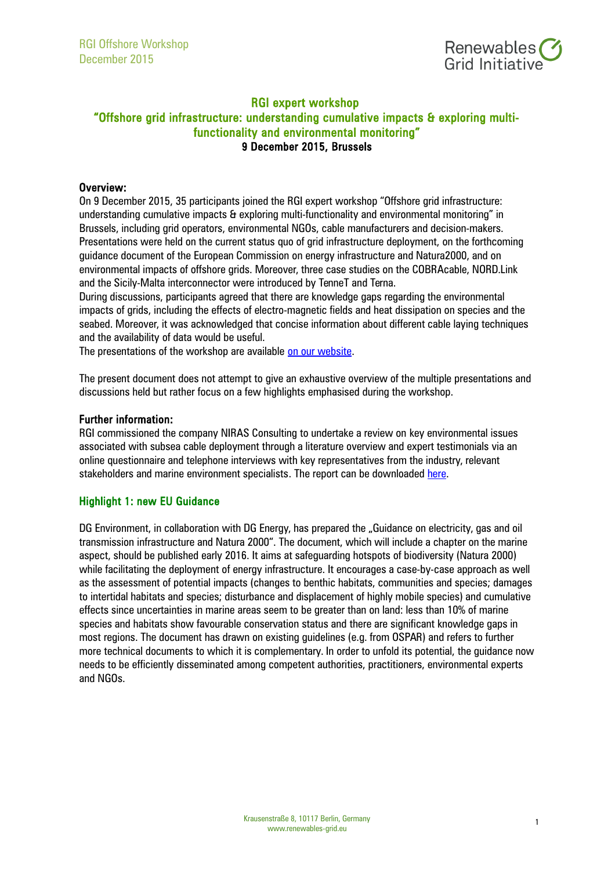

# RGI expert workshop "Offshore grid infrastructure: understanding cumulative impacts & exploring multifunctionality and environmental monitoring" 9 December 2015, Brussels

### Overview:

On 9 December 2015, 35 participants joined the RGI expert workshop "Offshore grid infrastructure: understanding cumulative impacts & exploring multi-functionality and environmental monitoring" in Brussels, including grid operators, environmental NGOs, cable manufacturers and decision-makers. Presentations were held on the current status quo of grid infrastructure deployment, on the forthcoming guidance document of the European Commission on energy infrastructure and Natura2000, and on environmental impacts of offshore grids. Moreover, three case studies on the COBRAcable, NORD.Link and the Sicily-Malta interconnector were introduced by TenneT and Terna.

During discussions, participants agreed that there are knowledge gaps regarding the environmental impacts of grids, including the effects of electro-magnetic fields and heat dissipation on species and the seabed. Moreover, it was acknowledged that concise information about different cable laying techniques and the availability of data would be useful.

The presentations of the workshop are available [on our website.](http://renewables-grid.us6.list-manage.com/track/click?u=28754a2b714030acd01e83a1c&id=3db7c9bc2f&e=8b8d1dee31)

The present document does not attempt to give an exhaustive overview of the multiple presentations and discussions held but rather focus on a few highlights emphasised during the workshop.

#### Further information:

RGI commissioned the company NIRAS Consulting to undertake a review on key environmental issues associated with subsea cable deployment through a literature overview and expert testimonials via an online questionnaire and telephone interviews with key representatives from the industry, relevant stakeholders and marine environment specialists. The report can be downloaded [here.](http://renewables-grid.eu/publications/offshore-report.html)

## Highlight 1: new EU Guidance

DG Environment, in collaboration with DG Energy, has prepared the "Guidance on electricity, gas and oil transmission infrastructure and Natura 2000". The document, which will include a chapter on the marine aspect, should be published early 2016. It aims at safeguarding hotspots of biodiversity (Natura 2000) while facilitating the deployment of energy infrastructure. It encourages a case-by-case approach as well as the assessment of potential impacts (changes to benthic habitats, communities and species; damages to intertidal habitats and species; disturbance and displacement of highly mobile species) and cumulative effects since uncertainties in marine areas seem to be greater than on land: less than 10% of marine species and habitats show favourable conservation status and there are significant knowledge gaps in most regions. The document has drawn on existing guidelines (e.g. from OSPAR) and refers to further more technical documents to which it is complementary. In order to unfold its potential, the guidance now needs to be efficiently disseminated among competent authorities, practitioners, environmental experts and NGOs.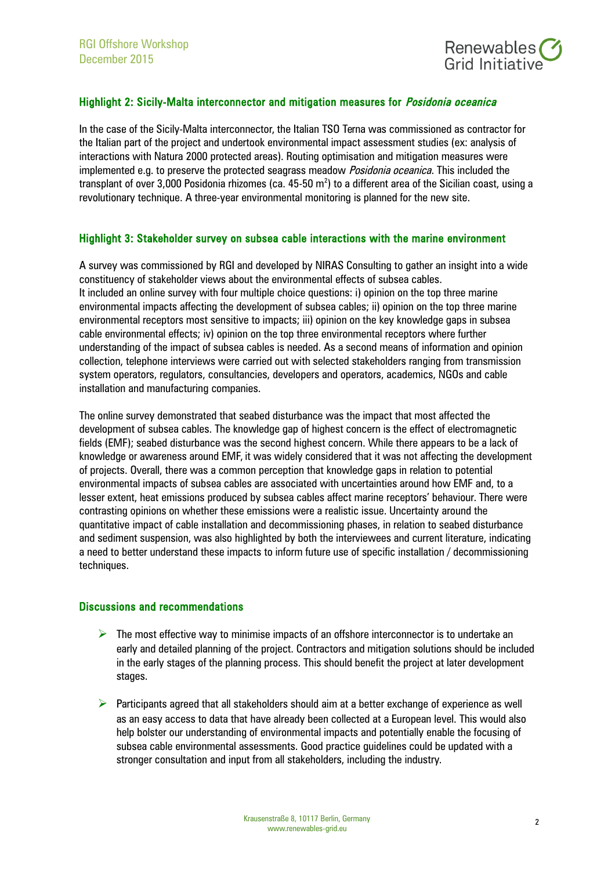

## Highlight 2: Sicily-Malta interconnector and mitigation measures for *Posidonia oceanica*

In the case of the Sicily-Malta interconnector, the Italian TSO Terna was commissioned as contractor for the Italian part of the project and undertook environmental impact assessment studies (ex: analysis of interactions with Natura 2000 protected areas). Routing optimisation and mitigation measures were implemented e.g. to preserve the protected seagrass meadow *Posidonia oceanica*. This included the transplant of over 3,000 Posidonia rhizomes (ca. 45-50 m<sup>2</sup>) to a different area of the Sicilian coast, using a revolutionary technique. A three-year environmental monitoring is planned for the new site.

#### Highlight 3: Stakeholder survey on subsea cable interactions with the marine environment

A survey was commissioned by RGI and developed by NIRAS Consulting to gather an insight into a wide constituency of stakeholder views about the environmental effects of subsea cables. It included an online survey with four multiple choice questions: i) opinion on the top three marine environmental impacts affecting the development of subsea cables; ii) opinion on the top three marine environmental receptors most sensitive to impacts; iii) opinion on the key knowledge gaps in subsea cable environmental effects; iv) opinion on the top three environmental receptors where further understanding of the impact of subsea cables is needed. As a second means of information and opinion collection, telephone interviews were carried out with selected stakeholders ranging from transmission system operators, regulators, consultancies, developers and operators, academics, NGOs and cable installation and manufacturing companies.

The online survey demonstrated that seabed disturbance was the impact that most affected the development of subsea cables. The knowledge gap of highest concern is the effect of electromagnetic fields (EMF); seabed disturbance was the second highest concern. While there appears to be a lack of knowledge or awareness around EMF, it was widely considered that it was not affecting the development of projects. Overall, there was a common perception that knowledge gaps in relation to potential environmental impacts of subsea cables are associated with uncertainties around how EMF and, to a lesser extent, heat emissions produced by subsea cables affect marine receptors' behaviour. There were contrasting opinions on whether these emissions were a realistic issue. Uncertainty around the quantitative impact of cable installation and decommissioning phases, in relation to seabed disturbance and sediment suspension, was also highlighted by both the interviewees and current literature, indicating a need to better understand these impacts to inform future use of specific installation / decommissioning techniques.

#### Discussions and recommendations

- $\triangleright$  The most effective way to minimise impacts of an offshore interconnector is to undertake an early and detailed planning of the project. Contractors and mitigation solutions should be included in the early stages of the planning process. This should benefit the project at later development stages.
- $\triangleright$  Participants agreed that all stakeholders should aim at a better exchange of experience as well as an easy access to data that have already been collected at a European level. This would also help bolster our understanding of environmental impacts and potentially enable the focusing of subsea cable environmental assessments. Good practice guidelines could be updated with a stronger consultation and input from all stakeholders, including the industry.